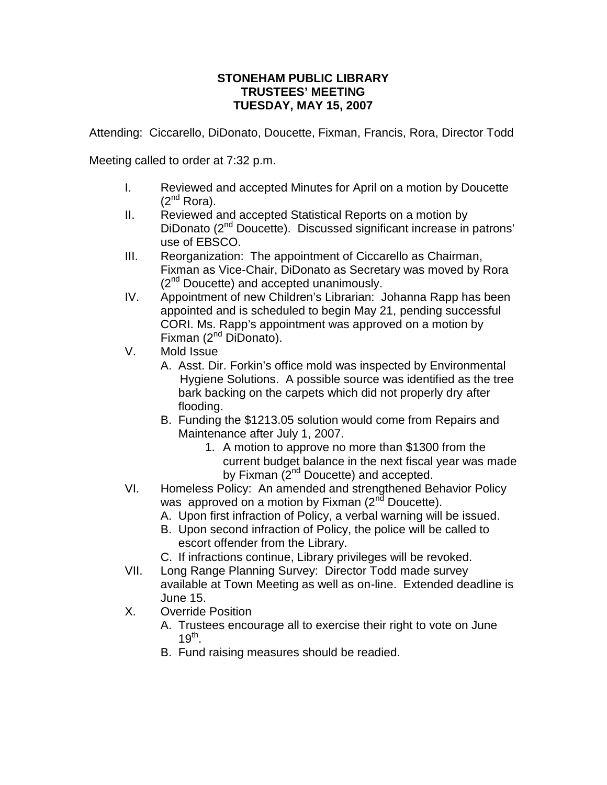## **STONEHAM PUBLIC LIBRARY TRUSTEES' MEETING TUESDAY, MAY 15, 2007**

Attending: Ciccarello, DiDonato, Doucette, Fixman, Francis, Rora, Director Todd

Meeting called to order at 7:32 p.m.

- I. Reviewed and accepted Minutes for April on a motion by Doucette  $(2^{nd}$  Rora).
- II. Reviewed and accepted Statistical Reports on a motion by DiDonato (2<sup>nd</sup> Doucette). Discussed significant increase in patrons' use of EBSCO.
- III. Reorganization: The appointment of Ciccarello as Chairman, Fixman as Vice-Chair, DiDonato as Secretary was moved by Rora  $(2^{nd}$  Doucette) and accepted unanimously.
- IV. Appointment of new Children's Librarian: Johanna Rapp has been appointed and is scheduled to begin May 21, pending successful CORI. Ms. Rapp's appointment was approved on a motion by Fixman  $(2^{nd}$  DiDonato).
- V. Mold Issue
	- A. Asst. Dir. Forkin's office mold was inspected by Environmental Hygiene Solutions. A possible source was identified as the tree bark backing on the carpets which did not properly dry after flooding.
	- B. Funding the \$1213.05 solution would come from Repairs and Maintenance after July 1, 2007.
		- 1. A motion to approve no more than \$1300 from the current budget balance in the next fiscal year was made by Fixman  $(2^{nd}$  Doucette) and accepted.
- VI. Homeless Policy: An amended and strengthened Behavior Policy was approved on a motion by Fixman  $(2^{nd}$  Doucette).
	- A. Upon first infraction of Policy, a verbal warning will be issued.
	- B. Upon second infraction of Policy, the police will be called to escort offender from the Library.
	- C. If infractions continue, Library privileges will be revoked.
- VII. Long Range Planning Survey: Director Todd made survey available at Town Meeting as well as on-line. Extended deadline is June 15.
- X. Override Position
	- A. Trustees encourage all to exercise their right to vote on June  $19^{\text{th}}$ .
	- B. Fund raising measures should be readied.